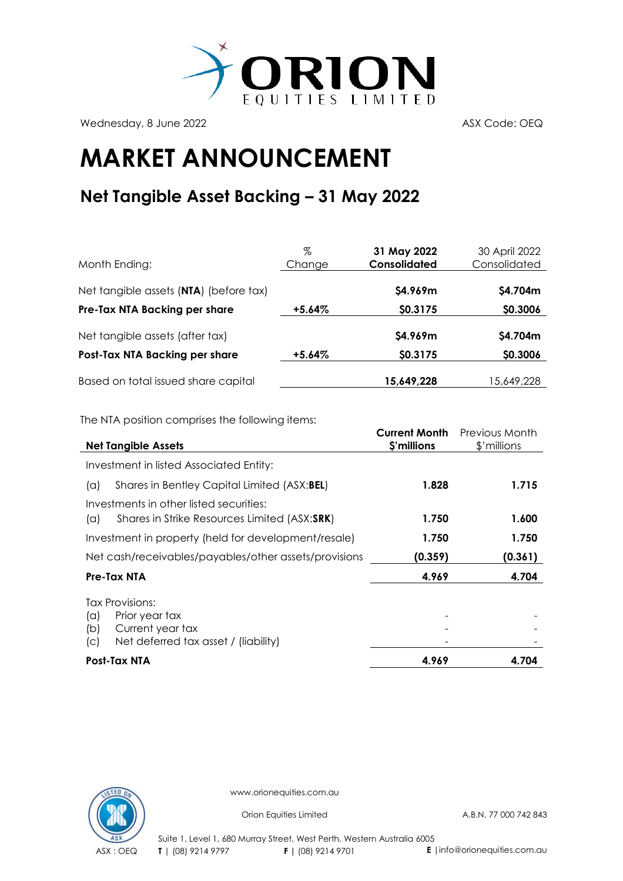

Wednesday, 8 June 2022 ASX Code: OEQ

## **MARKET ANNOUNCEMENT**

## **Net Tangible Asset Backing – 31 May 2022**

| Month Ending:                          | %<br>Change | 31 May 2022<br>Consolidated | 30 April 2022<br>Consolidated |
|----------------------------------------|-------------|-----------------------------|-------------------------------|
| Net tangible assets (NTA) (before tax) |             | \$4.969m                    | \$4.704m                      |
| Pre-Tax NTA Backing per share          | $+5.64\%$   | \$0.3175                    | \$0.3006                      |
| Net tangible assets (after tax)        |             | \$4.969m                    | \$4.704m                      |
| Post-Tax NTA Backing per share         | $+5.64\%$   | \$0.3175                    | \$0.3006                      |
| Based on total issued share capital    |             | 15,649,228                  | 15,649,228                    |

The NTA position comprises the following items:

| <b>Net Tangible Assets</b>                                                                                         | <b>Current Month</b><br>\$'millions | Previous Month<br>\$'millions |
|--------------------------------------------------------------------------------------------------------------------|-------------------------------------|-------------------------------|
|                                                                                                                    |                                     |                               |
| Investment in listed Associated Entity:                                                                            |                                     |                               |
| Shares in Bentley Capital Limited (ASX:BEL)<br>(a)                                                                 | 1.828                               | 1.715                         |
| Investments in other listed securities:                                                                            |                                     |                               |
| Shares in Strike Resources Limited (ASX:SRK)<br>(a)                                                                | 1.750                               | 1.600                         |
| Investment in property (held for development/resale)                                                               | 1.750                               | 1.750                         |
| Net cash/receivables/payables/other assets/provisions                                                              | (0.359)                             | (0.361)                       |
| Pre-Tax NTA                                                                                                        | 4.969                               | 4.704                         |
| Tax Provisions:<br>Prior year tax<br>(a)<br>Current year tax<br>(b)<br>Net deferred tax asset / (liability)<br>(C) |                                     |                               |
| Post-Tax NTA                                                                                                       | 4.969                               | 4.704                         |



www.orionequities.com.au

Orion Equities Limited A.B.N. 77 000 742 843

Suite 1, Level 1, 680 Murray Street, West Perth, Western Australia 6005 ASX : OEQ **T** | (08) 9214 9797 **F |** (08) 9214 9701 **E** |info@orionequities.com.au